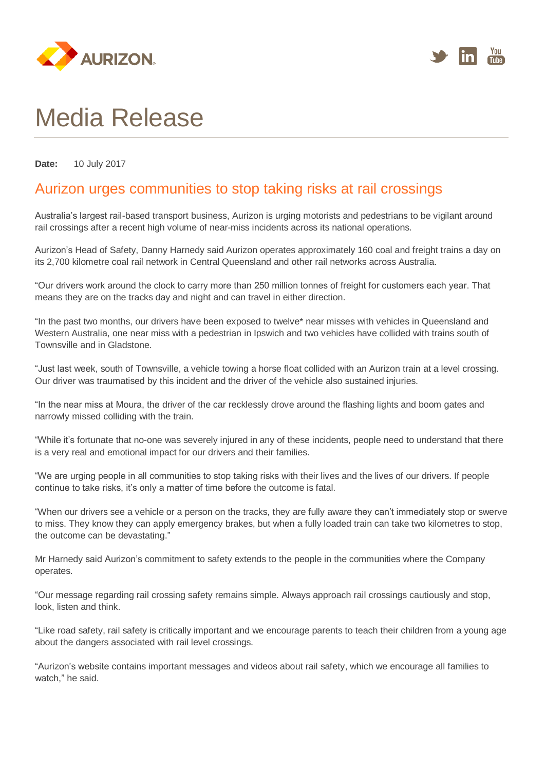



## Media Release

**Date:** 10 July 2017

## Aurizon urges communities to stop taking risks at rail crossings

Australia's largest rail-based transport business, Aurizon is urging motorists and pedestrians to be vigilant around rail crossings after a recent high volume of near-miss incidents across its national operations.

Aurizon's Head of Safety, Danny Harnedy said Aurizon operates approximately 160 coal and freight trains a day on its 2,700 kilometre coal rail network in Central Queensland and other rail networks across Australia.

"Our drivers work around the clock to carry more than 250 million tonnes of freight for customers each year. That means they are on the tracks day and night and can travel in either direction.

"In the past two months, our drivers have been exposed to twelve\* near misses with vehicles in Queensland and Western Australia, one near miss with a pedestrian in Ipswich and two vehicles have collided with trains south of Townsville and in Gladstone.

"Just last week, south of Townsville, a vehicle towing a horse float collided with an Aurizon train at a level crossing. Our driver was traumatised by this incident and the driver of the vehicle also sustained injuries.

"In the near miss at Moura, the driver of the car recklessly drove around the flashing lights and boom gates and narrowly missed colliding with the train.

"While it's fortunate that no-one was severely injured in any of these incidents, people need to understand that there is a very real and emotional impact for our drivers and their families.

"We are urging people in all communities to stop taking risks with their lives and the lives of our drivers. If people continue to take risks, it's only a matter of time before the outcome is fatal.

"When our drivers see a vehicle or a person on the tracks, they are fully aware they can't immediately stop or swerve to miss. They know they can apply emergency brakes, but when a fully loaded train can take two kilometres to stop, the outcome can be devastating."

Mr Harnedy said Aurizon's commitment to safety extends to the people in the communities where the Company operates.

"Our message regarding rail crossing safety remains simple. Always approach rail crossings cautiously and stop, look, listen and think.

"Like road safety, rail safety is critically important and we encourage parents to teach their children from a young age about the dangers associated with rail level crossings.

"Aurizon's website contains important messages and videos about rail safety, which we encourage all families to watch," he said.